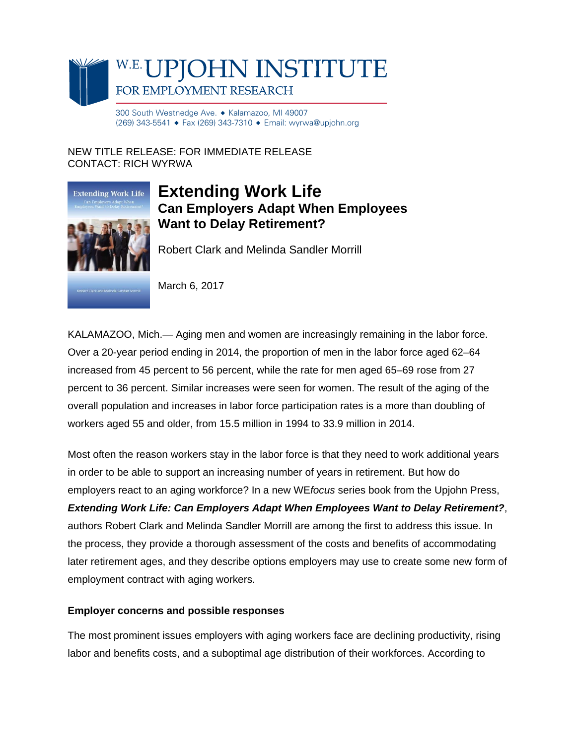

300 South Westnedge Ave. ♦ Kalamazoo, MI 49007 (269) 343-5541 ♦ Fax (269) 343-7310 ♦ Email: wyrwa@upjohn.org

NEW TITLE RELEASE: FOR IMMEDIATE RELEASE CONTACT: RICH WYRWA



## **Extending Work Life Can Employers Adapt When Employees Want to Delay Retirement?**

Robert Clark and Melinda Sandler Morrill

**Clark and Melinda Sandler Morr** 

March 6, 2017

KALAMAZOO, Mich.— Aging men and women are increasingly remaining in the labor force. Over a 20-year period ending in 2014, the proportion of men in the labor force aged 62–64 increased from 45 percent to 56 percent, while the rate for men aged 65–69 rose from 27 percent to 36 percent. Similar increases were seen for women. The result of the aging of the overall population and increases in labor force participation rates is a more than doubling of workers aged 55 and older, from 15.5 million in 1994 to 33.9 million in 2014.

Most often the reason workers stay in the labor force is that they need to work additional years in order to be able to support an increasing number of years in retirement. But how do employers react to an aging workforce? In a new WE*focus* series book from the Upjohn Press, *Extending Work Life: Can Employers Adapt When Employees Want to Delay Retirement?*, authors Robert Clark and Melinda Sandler Morrill are among the first to address this issue. In the process, they provide a thorough assessment of the costs and benefits of accommodating later retirement ages, and they describe options employers may use to create some new form of employment contract with aging workers.

## **Employer concerns and possible responses**

The most prominent issues employers with aging workers face are declining productivity, rising labor and benefits costs, and a suboptimal age distribution of their workforces. According to